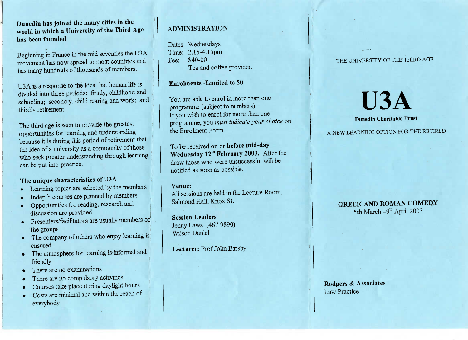**Dunedin has joined the many cities in the world in which a University of the Third Agehas been founded**

Beginning in France in the mid seventies the U3Amovement has now spread to most countries andhas many hundreds of thousands of members.

U3A is a response to the idea that human life isvided into three periods: firstly, childhood and hooling; secondly, child rearing and work, and thirdly retirement.

The third age is seen to provide the greatest opportunities for learning and understanding because it is during this period of retirement thatthe idea of a university as a community of those $v$ ho seek greater understanding through learning can be put into practice.

# **The unique characteristics of U3A**

- Learning topics are selected by the members
- Indepth courses are planned by members
- Opportunities for reading, research anddiscussion are provided
- **Presenters/facilitators are usually members of** the groups
- The company of others who enjoy learning is ensured
- The atmosphere for learning is informal and friendly
- There are no examinations
- There are no compulsory activities
- Courses take place during daylight hours
- Costs are minimal and within the reach of everybody

# **ADMINISTRATION**

Dates: Wednesdays<br>Time: 2.15-4.15pm Fee: \$40-00  $\frac{1}{2}$ . Tea and coffe and come provided

# **Enrolments -Limited to 50**

You are able to enrol in more than one programme (subject to numbers). programme (subject to make the numbers). If you wish to expect the more than the section of the section of the programme, you must indicate your choice on the Enrolment Form.

Vednesday 12<sup>th</sup> February 2003. After draw those who were unsuccessful will be  $\frac{d}{dx}$ notified as soon as possible.

**Vitro:**<br>U seccio  $A = 1 \text{ T} \cdot \text{H} \cdot V_{\text{max}} \cdot \text{C} +$ almond Tian, Tian St.

**Session Leaders** Jenny Laws (467 9899) Wilson Daniel

**Lecturer:** Prof John Barsby

### THE UNIVERSITY OF THE THIRD AGE

 $\mathbf{U}$ **3A**<br>Dunedin Charitable Trust

# **Dunedin Charitable Trust**

# **GREEK AND ROMAN COMEDY** 5th March -9<sup>th</sup> April 2003

Rodgers & Associates **Law Practice**